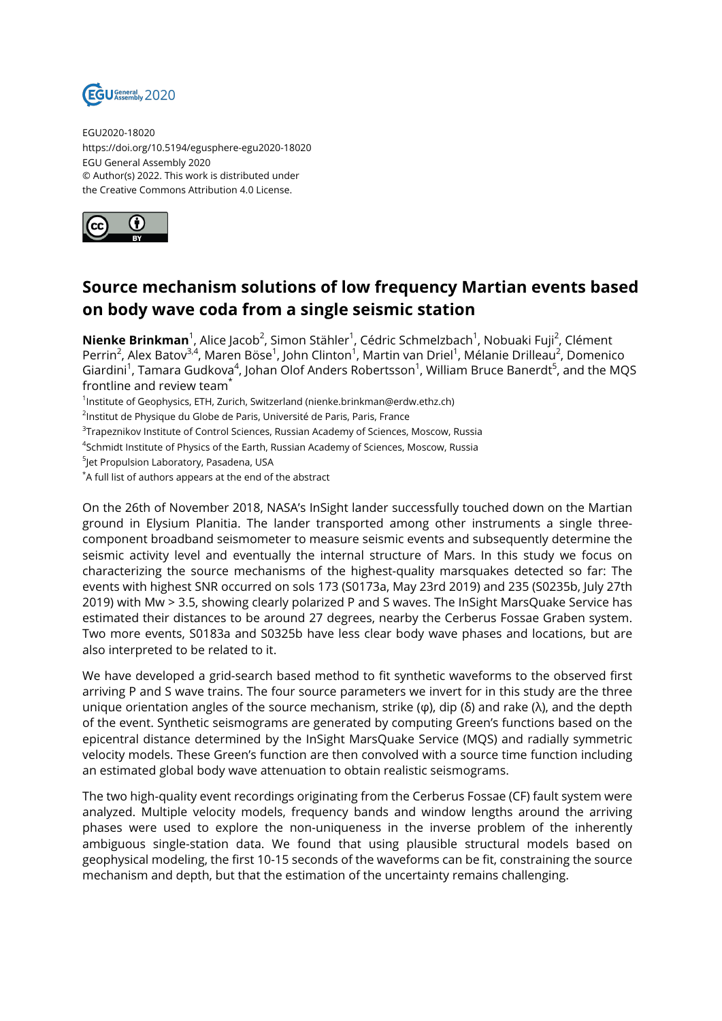

EGU2020-18020 https://doi.org/10.5194/egusphere-egu2020-18020 EGU General Assembly 2020 © Author(s) 2022. This work is distributed under the Creative Commons Attribution 4.0 License.



## **Source mechanism solutions of low frequency Martian events based on body wave coda from a single seismic station**

**Nienke Brinkman**<sup>1</sup>, Alice Jacob<sup>2</sup>, Simon Stähler<sup>1</sup>, Cédric Schmelzbach<sup>1</sup>, Nobuaki Fuji<sup>2</sup>, Clément Perrin<sup>2</sup>, Alex Batov<sup>3,4</sup>, Maren Böse<sup>1</sup>, John Clinton<sup>1</sup>, Martin van Driel<sup>1</sup>, Mélanie Drilleau<sup>2</sup>, Domenico Giardini<sup>1</sup>, Tamara Gudkova<sup>4</sup>, Johan Olof Anders Robertsson<sup>1</sup>, William Bruce Banerdt<sup>5</sup>, and the MQS frontline and review team<sup>\*</sup>

1 Institute of Geophysics, ETH, Zurich, Switzerland (nienke.brinkman@erdw.ethz.ch)

<sup>2</sup>lnstitut de Physique du Globe de Paris, Université de Paris, Paris, France

 $^3$ Trapeznikov Institute of Control Sciences, Russian Academy of Sciences, Moscow, Russia

 $^4$ Schmidt Institute of Physics of the Earth, Russian Academy of Sciences, Moscow, Russia

5 Jet Propulsion Laboratory, Pasadena, USA

\*A full list of authors appears at the end of the abstract

On the 26th of November 2018, NASA's InSight lander successfully touched down on the Martian ground in Elysium Planitia. The lander transported among other instruments a single threecomponent broadband seismometer to measure seismic events and subsequently determine the seismic activity level and eventually the internal structure of Mars. In this study we focus on characterizing the source mechanisms of the highest-quality marsquakes detected so far: The events with highest SNR occurred on sols 173 (S0173a, May 23rd 2019) and 235 (S0235b, July 27th 2019) with Mw > 3.5, showing clearly polarized P and S waves. The InSight MarsQuake Service has estimated their distances to be around 27 degrees, nearby the Cerberus Fossae Graben system. Two more events, S0183a and S0325b have less clear body wave phases and locations, but are also interpreted to be related to it.

We have developed a grid-search based method to fit synthetic waveforms to the observed first arriving P and S wave trains. The four source parameters we invert for in this study are the three unique orientation angles of the source mechanism, strike (φ), dip (δ) and rake (λ), and the depth of the event. Synthetic seismograms are generated by computing Green's functions based on the epicentral distance determined by the InSight MarsQuake Service (MQS) and radially symmetric velocity models. These Green's function are then convolved with a source time function including an estimated global body wave attenuation to obtain realistic seismograms.

The two high-quality event recordings originating from the Cerberus Fossae (CF) fault system were analyzed. Multiple velocity models, frequency bands and window lengths around the arriving phases were used to explore the non-uniqueness in the inverse problem of the inherently ambiguous single-station data. We found that using plausible structural models based on geophysical modeling, the first 10-15 seconds of the waveforms can be fit, constraining the source mechanism and depth, but that the estimation of the uncertainty remains challenging.